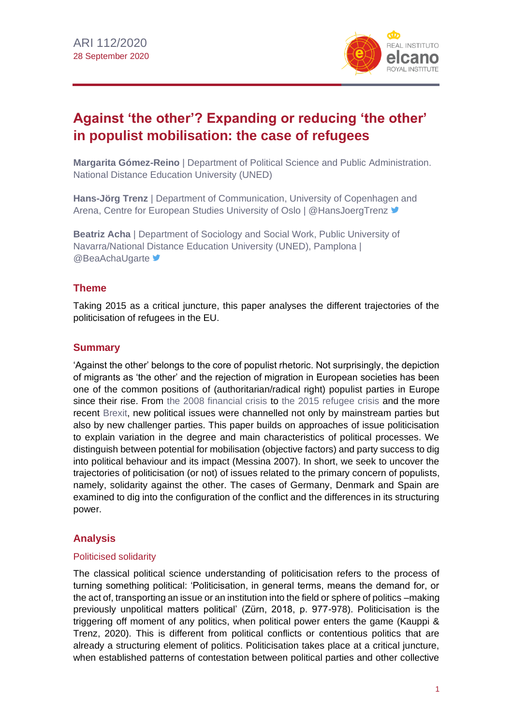

# **Against 'the other'? Expanding or reducing 'the other' in populist mobilisation: the case of refugees**

**Margarita Gómez-Reino** | Department of Political Science and Public Administration. National Distance Education University (UNED)

**Hans-Jörg Trenz** | Department of Communication, University of Copenhagen and Arena, Centre for European Studies University of Oslo | @HansJoergTrenz <sup>y</sup>

**Beatriz Acha** | Department of Sociology and Social Work, Public University of Navarra/National Distance Education University (UNED), Pamplona | **@BeaAchaUgarte** 

# **Theme**

Taking 2015 as a critical juncture, this paper analyses the different trajectories of the politicisation of refugees in the EU.

### **Summary**

'Against the other' belongs to the core of populist rhetoric. Not surprisingly, the depiction of migrants as 'the other' and the rejection of migration in European societies has been one of the common positions of (authoritarian/radical right) populist parties in Europe since their rise. From [the 2008 financial crisis](http://www.realinstitutoelcano.org/wps/portal/rielcano_en/contenido?WCM_GLOBAL_CONTEXT=/elcano/elcano_in/zonas_in/ari126-2008) to [the 2015 refugee crisis](https://blog.realinstitutoelcano.org/en/the-mediterranean-refugee-crisis-obstacles-to-an-effective-european-action/) and the more recent [Brexit,](https://especiales.realinstitutoelcano.org/brexit/) new political issues were channelled not only by mainstream parties but also by new challenger parties. This paper builds on approaches of issue politicisation to explain variation in the degree and main characteristics of political processes. We distinguish between potential for mobilisation (objective factors) and party success to dig into political behaviour and its impact (Messina 2007). In short, we seek to uncover the trajectories of politicisation (or not) of issues related to the primary concern of populists, namely, solidarity against the other. The cases of Germany, Denmark and Spain are examined to dig into the configuration of the conflict and the differences in its structuring power.

# **Analysis**

#### Politicised solidarity

The classical political science understanding of politicisation refers to the process of turning something political: 'Politicisation, in general terms, means the demand for, or the act of, transporting an issue or an institution into the field or sphere of politics –making previously unpolitical matters political' (Zürn, 2018, p. 977-978). Politicisation is the triggering off moment of any politics, when political power enters the game (Kauppi & Trenz, 2020). This is different from political conflicts or contentious politics that are already a structuring element of politics. Politicisation takes place at a critical juncture, when established patterns of contestation between political parties and other collective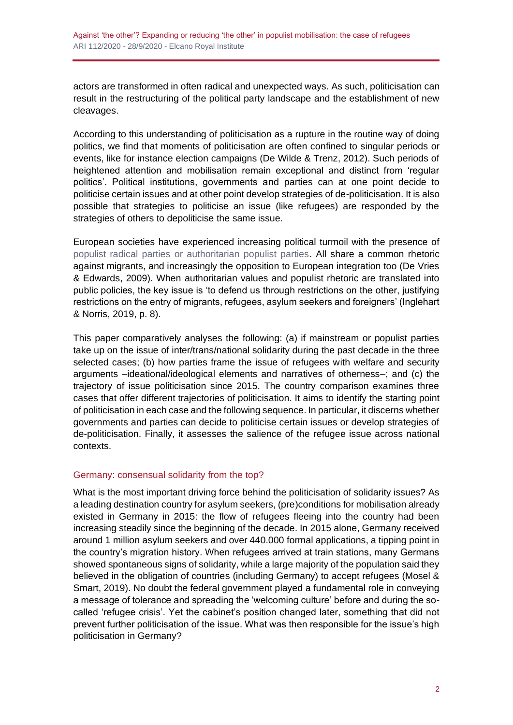actors are transformed in often radical and unexpected ways. As such, politicisation can result in the restructuring of the political party landscape and the establishment of new cleavages.

According to this understanding of politicisation as a rupture in the routine way of doing politics, we find that moments of politicisation are often confined to singular periods or events, like for instance election campaigns (De Wilde & Trenz, 2012). Such periods of heightened attention and mobilisation remain exceptional and distinct from 'regular politics'. Political institutions, governments and parties can at one point decide to politicise certain issues and at other point develop strategies of de-politicisation. It is also possible that strategies to politicise an issue (like refugees) are responded by the strategies of others to depoliticise the same issue.

European societies have experienced increasing political turmoil with the presence of [populist radical parties or authoritarian populist parties.](http://www.realinstitutoelcano.org/wps/portal/rielcano_en/event?WCM_GLOBAL_CONTEXT=/elcano/elcano_in/calendar/activities/virtual-conference-populist-challenges-to-cosmopolitan-values-in-europe) All share a common rhetoric against migrants, and increasingly the opposition to European integration too (De Vries & Edwards, 2009). When authoritarian values and populist rhetoric are translated into public policies, the key issue is 'to defend us through restrictions on the other, justifying restrictions on the entry of migrants, refugees, asylum seekers and foreigners' (Inglehart & Norris, 2019, p. 8).

This paper comparatively analyses the following: (a) if mainstream or populist parties take up on the issue of inter/trans/national solidarity during the past decade in the three selected cases; (b) how parties frame the issue of refugees with welfare and security arguments –ideational/ideological elements and narratives of otherness–; and (c) the trajectory of issue politicisation since 2015. The country comparison examines three cases that offer different trajectories of politicisation. It aims to identify the starting point of politicisation in each case and the following sequence. In particular, it discerns whether governments and parties can decide to politicise certain issues or develop strategies of de-politicisation. Finally, it assesses the salience of the refugee issue across national contexts.

#### Germany: consensual solidarity from the top?

What is the most important driving force behind the politicisation of solidarity issues? As a leading destination country for asylum seekers, (pre)conditions for mobilisation already existed in Germany in 2015: the flow of refugees fleeing into the country had been increasing steadily since the beginning of the decade. In 2015 alone, Germany received around 1 million asylum seekers and over 440.000 formal applications, a tipping point in the country's migration history. When refugees arrived at train stations, many Germans showed spontaneous signs of solidarity, while a large majority of the population said they believed in the obligation of countries (including Germany) to accept refugees (Mosel & Smart, 2019). No doubt the federal government played a fundamental role in conveying a message of tolerance and spreading the 'welcoming culture' before and during the socalled 'refugee crisis'. Yet the cabinet's position changed later, something that did not prevent further politicisation of the issue. What was then responsible for the issue's high politicisation in Germany?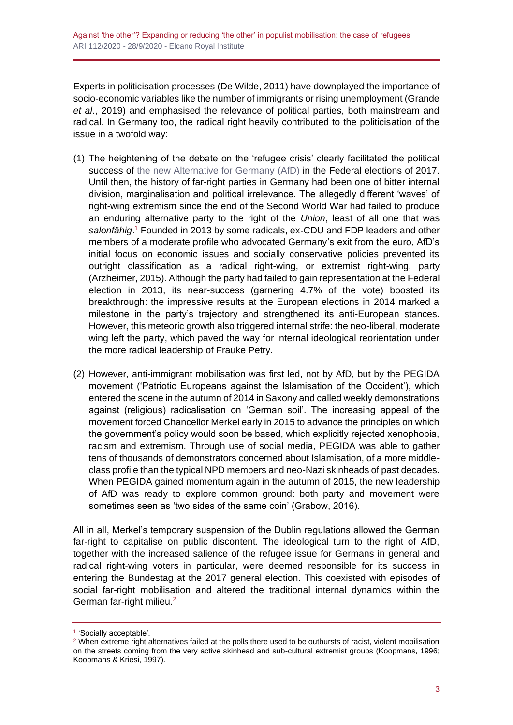Experts in politicisation processes (De Wilde, 2011) have downplayed the importance of socio-economic variables like the number of immigrants or rising unemployment (Grande *et al*., 2019) and emphasised the relevance of political parties, both mainstream and radical. In Germany too, the radical right heavily contributed to the politicisation of the issue in a twofold way:

- (1) The heightening of the debate on the 'refugee crisis' clearly facilitated the political success of [the new Alternative for Germany \(AfD\)](https://blog.realinstitutoelcano.org/en/germany-shifting-to-the-right/) in the Federal elections of 2017. Until then, the history of far-right parties in Germany had been one of bitter internal division, marginalisation and political irrelevance. The allegedly different 'waves' of right-wing extremism since the end of the Second World War had failed to produce an enduring alternative party to the right of the *Union*, least of all one that was *salonfähig*. <sup>1</sup> Founded in 2013 by some radicals, ex-CDU and FDP leaders and other members of a moderate profile who advocated Germany's exit from the euro, AfD's initial focus on economic issues and socially conservative policies prevented its outright classification as a radical right-wing, or extremist right-wing, party (Arzheimer, 2015). Although the party had failed to gain representation at the Federal election in 2013, its near-success (garnering 4.7% of the vote) boosted its breakthrough: the impressive results at the European elections in 2014 marked a milestone in the party's trajectory and strengthened its anti-European stances. However, this meteoric growth also triggered internal strife: the neo-liberal, moderate wing left the party, which paved the way for internal ideological reorientation under the more radical leadership of Frauke Petry.
- (2) However, anti-immigrant mobilisation was first led, not by AfD, but by the PEGIDA movement ('Patriotic Europeans against the Islamisation of the Occident'), which entered the scene in the autumn of 2014 in Saxony and called weekly demonstrations against (religious) radicalisation on 'German soil'. The increasing appeal of the movement forced Chancellor Merkel early in 2015 to advance the principles on which the government's policy would soon be based, which explicitly rejected xenophobia, racism and extremism. Through use of social media, PEGIDA was able to gather tens of thousands of demonstrators concerned about Islamisation, of a more middleclass profile than the typical NPD members and neo-Nazi skinheads of past decades. When PEGIDA gained momentum again in the autumn of 2015, the new leadership of AfD was ready to explore common ground: both party and movement were sometimes seen as 'two sides of the same coin' (Grabow, 2016).

All in all, Merkel's temporary suspension of the Dublin regulations allowed the German far-right to capitalise on public discontent. The ideological turn to the right of AfD, together with the increased salience of the refugee issue for Germans in general and radical right-wing voters in particular, were deemed responsible for its success in entering the Bundestag at the 2017 general election. This coexisted with episodes of social far-right mobilisation and altered the traditional internal dynamics within the German far-right milieu.<sup>2</sup>

<sup>1</sup> 'Socially acceptable'.

 $2$  When extreme right alternatives failed at the polls there used to be outbursts of racist, violent mobilisation on the streets coming from the very active skinhead and sub-cultural extremist groups (Koopmans, 1996; Koopmans & Kriesi, 1997).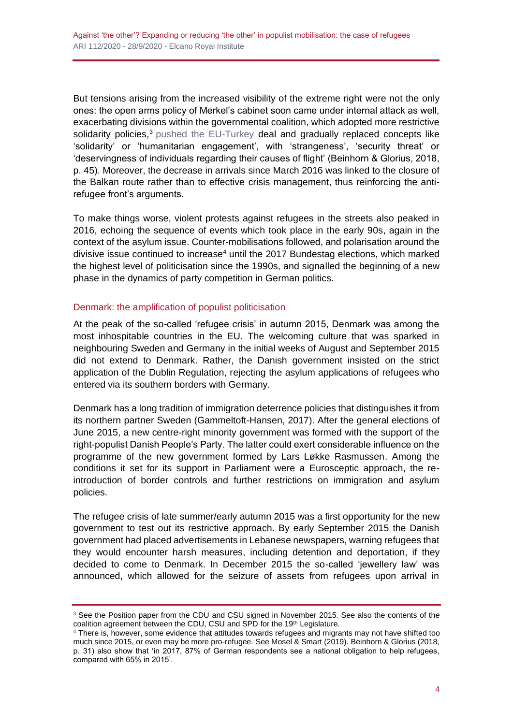But tensions arising from the increased visibility of the extreme right were not the only ones: the open arms policy of Merkel's cabinet soon came under internal attack as well, exacerbating divisions within the governmental coalition, which adopted more restrictive solidarity policies,<sup>3</sup> [pushed the EU-Turkey](http://www.realinstitutoelcano.org/wps/portal/rielcano_en/contenido?WCM_GLOBAL_CONTEXT=/elcano/elcano_in/zonas_in/ari21-2017-toygur-benvenuti-one-year-on-assessment-eu-turkey-statement-refugees) deal and gradually replaced concepts like 'solidarity' or 'humanitarian engagement', with 'strangeness', 'security threat' or 'deservingness of individuals regarding their causes of flight' (Beinhorn & Glorius, 2018, p. 45). Moreover, the decrease in arrivals since March 2016 was linked to the closure of the Balkan route rather than to effective crisis management, thus reinforcing the antirefugee front's arguments.

To make things worse, violent protests against refugees in the streets also peaked in 2016, echoing the sequence of events which took place in the early 90s, again in the context of the asylum issue. Counter-mobilisations followed, and polarisation around the divisive issue continued to increase<sup>4</sup> until the 2017 Bundestag elections, which marked the highest level of politicisation since the 1990s, and signalled the beginning of a new phase in the dynamics of party competition in German politics.

#### Denmark: the amplification of populist politicisation

At the peak of the so-called 'refugee crisis' in autumn 2015, Denmark was among the most inhospitable countries in the EU. The welcoming culture that was sparked in neighbouring Sweden and Germany in the initial weeks of August and September 2015 did not extend to Denmark. Rather, the Danish government insisted on the strict application of the Dublin Regulation, rejecting the asylum applications of refugees who entered via its southern borders with Germany.

Denmark has a long tradition of immigration deterrence policies that distinguishes it from its northern partner Sweden (Gammeltoft-Hansen, 2017). After the general elections of June 2015, a new centre-right minority government was formed with the support of the right-populist Danish People's Party. The latter could exert considerable influence on the programme of the new government formed by Lars Løkke Rasmussen. Among the conditions it set for its support in Parliament were a Eurosceptic approach, the reintroduction of border controls and further restrictions on immigration and asylum policies.

The refugee crisis of late summer/early autumn 2015 was a first opportunity for the new government to test out its restrictive approach. By early September 2015 the Danish government had placed advertisements in Lebanese newspapers, warning refugees that they would encounter harsh measures, including detention and deportation, if they decided to come to Denmark. In December 2015 the so-called 'jewellery law' was announced, which allowed for the seizure of assets from refugees upon arrival in

<sup>&</sup>lt;sup>3</sup> See the Position paper from the CDU and CSU signed in November 2015. See also the contents of the coalition agreement between the CDU, CSU and SPD for the 19<sup>th</sup> Legislature.

<sup>4</sup> There is, however, some evidence that attitudes towards refugees and migrants may not have shifted too much since 2015, or even may be more pro-refugee. See Mosel & Smart (2019). Beinhorn & Glorius (2018, p. 31) also show that 'in 2017, 87% of German respondents see a national obligation to help refugees, compared with 65% in 2015'.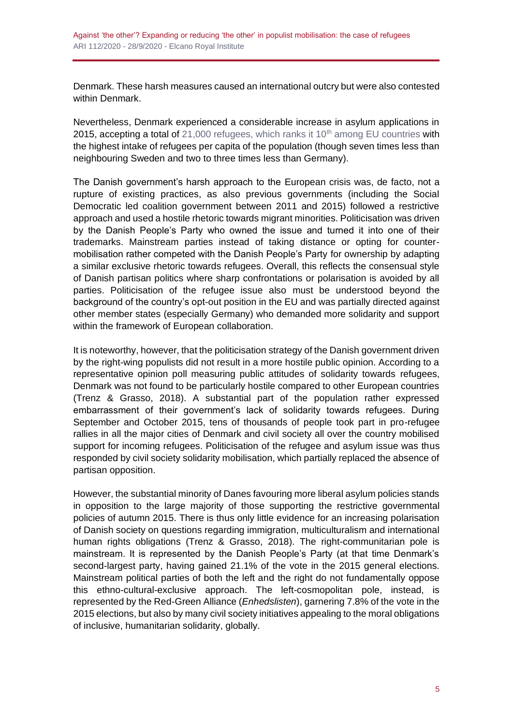Denmark. These harsh measures caused an international outcry but were also contested within Denmark.

Nevertheless, Denmark experienced a considerable increase in asylum applications in 2015, accepting a total of  $21,000$  refugees, which ranks it  $10<sup>th</sup>$  among EU countries with the highest intake of refugees per capita of the population (though seven times less than neighbouring Sweden and two to three times less than Germany).

The Danish government's harsh approach to the European crisis was, de facto, not a rupture of existing practices, as also previous governments (including the Social Democratic led coalition government between 2011 and 2015) followed a restrictive approach and used a hostile rhetoric towards migrant minorities. Politicisation was driven by the Danish People's Party who owned the issue and turned it into one of their trademarks. Mainstream parties instead of taking distance or opting for countermobilisation rather competed with the Danish People's Party for ownership by adapting a similar exclusive rhetoric towards refugees. Overall, this reflects the consensual style of Danish partisan politics where sharp confrontations or polarisation is avoided by all parties. Politicisation of the refugee issue also must be understood beyond the background of the country's opt-out position in the EU and was partially directed against other member states (especially Germany) who demanded more solidarity and support within the framework of European collaboration.

It is noteworthy, however, that the politicisation strategy of the Danish government driven by the right-wing populists did not result in a more hostile public opinion. According to a representative opinion poll measuring public attitudes of solidarity towards refugees, Denmark was not found to be particularly hostile compared to other European countries (Trenz & Grasso, 2018). A substantial part of the population rather expressed embarrassment of their government's lack of solidarity towards refugees. During September and October 2015, tens of thousands of people took part in pro-refugee rallies in all the major cities of Denmark and civil society all over the country mobilised support for incoming refugees. Politicisation of the refugee and asylum issue was thus responded by civil society solidarity mobilisation, which partially replaced the absence of partisan opposition.

However, the substantial minority of Danes favouring more liberal asylum policies stands in opposition to the large majority of those supporting the restrictive governmental policies of autumn 2015. There is thus only little evidence for an increasing polarisation of Danish society on questions regarding immigration, multiculturalism and international human rights obligations (Trenz & Grasso, 2018). The right-communitarian pole is mainstream. It is represented by the Danish People's Party (at that time Denmark's second-largest party, having gained 21.1% of the vote in the 2015 general elections. Mainstream political parties of both the left and the right do not fundamentally oppose this ethno-cultural-exclusive approach. The left-cosmopolitan pole, instead, is represented by the Red-Green Alliance (*Enhedslisten*), garnering 7.8% of the vote in the 2015 elections, but also by many civil society initiatives appealing to the moral obligations of inclusive, humanitarian solidarity, globally.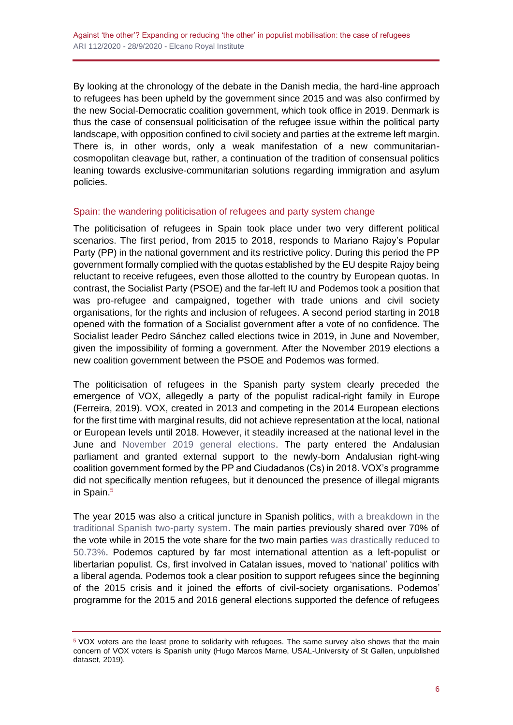By looking at the chronology of the debate in the Danish media, the hard-line approach to refugees has been upheld by the government since 2015 and was also confirmed by the new Social-Democratic coalition government, which took office in 2019. Denmark is thus the case of consensual politicisation of the refugee issue within the political party landscape, with opposition confined to civil society and parties at the extreme left margin. There is, in other words, only a weak manifestation of a new communitariancosmopolitan cleavage but, rather, a continuation of the tradition of consensual politics leaning towards exclusive-communitarian solutions regarding immigration and asylum policies.

#### Spain: the wandering politicisation of refugees and party system change

The politicisation of refugees in Spain took place under two very different political scenarios. The first period, from 2015 to 2018, responds to Mariano Rajoy's Popular Party (PP) in the national government and its restrictive policy. During this period the PP government formally complied with the quotas established by the EU despite Rajoy being reluctant to receive refugees, even those allotted to the country by European quotas. In contrast, the Socialist Party (PSOE) and the far-left IU and Podemos took a position that was pro-refugee and campaigned, together with trade unions and civil society organisations, for the rights and inclusion of refugees. A second period starting in 2018 opened with the formation of a Socialist government after a vote of no confidence. The Socialist leader Pedro Sánchez called elections twice in 2019, in June and November, given the impossibility of forming a government. After the November 2019 elections a new coalition government between the PSOE and Podemos was formed.

The politicisation of refugees in the Spanish party system clearly preceded the emergence of VOX, allegedly a party of the populist radical-right family in Europe (Ferreira, 2019). VOX, created in 2013 and competing in the 2014 European elections for the first time with marginal results, did not achieve representation at the local, national or European levels until 2018. However, it steadily increased at the national level in the June and [November 2019 general elections.](https://blog.realinstitutoelcano.org/en/spain-another-democratic-deadlock-or-a-coalition-government/) The party entered the Andalusian parliament and granted external support to the newly-born Andalusian right-wing coalition government formed by the PP and Ciudadanos (Cs) in 2018. VOX's programme did not specifically mention refugees, but it denounced the presence of illegal migrants in Spain.<sup>5</sup>

The year 2015 was also a critical juncture in Spanish politics, [with a breakdown in the](http://www.realinstitutoelcano.org/wps/portal/rielcano_en/contenido?WCM_GLOBAL_CONTEXT=/elcano/elcano_in/zonas_in/llaudes-oteroiglesias-general-elections-in-spain-from-two-to-multiple-party-system)  [traditional Spanish two-party system.](http://www.realinstitutoelcano.org/wps/portal/rielcano_en/contenido?WCM_GLOBAL_CONTEXT=/elcano/elcano_in/zonas_in/llaudes-oteroiglesias-general-elections-in-spain-from-two-to-multiple-party-system) The main parties previously shared over 70% of the vote while in 2015 the vote share for the two main parties [was drastically reduced to](http://www.realinstitutoelcano.org/wps/portal/rielcano_es/contenido?WCM_GLOBAL_CONTEXT=/elcano/elcano_in/zonas_in/commentary-chislett-anti-establishment-parties-make-gains-spain-elections)  [50.73%.](http://www.realinstitutoelcano.org/wps/portal/rielcano_es/contenido?WCM_GLOBAL_CONTEXT=/elcano/elcano_in/zonas_in/commentary-chislett-anti-establishment-parties-make-gains-spain-elections) Podemos captured by far most international attention as a left-populist or libertarian populist. Cs, first involved in Catalan issues, moved to 'national' politics with a liberal agenda. Podemos took a clear position to support refugees since the beginning of the 2015 crisis and it joined the efforts of civil-society organisations. Podemos' programme for the 2015 and 2016 general elections supported the defence of refugees

<sup>5</sup> VOX voters are the least prone to solidarity with refugees. The same survey also shows that the main concern of VOX voters is Spanish unity (Hugo Marcos Marne, USAL-University of St Gallen, unpublished dataset, 2019).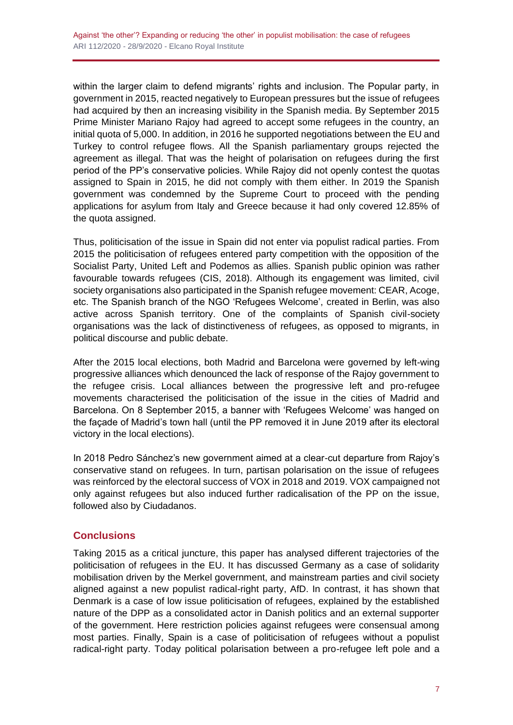within the larger claim to defend migrants' rights and inclusion. The Popular party, in government in 2015, reacted negatively to European pressures but the issue of refugees had acquired by then an increasing visibility in the Spanish media. By September 2015 Prime Minister Mariano Rajoy had agreed to accept some refugees in the country, an initial quota of 5,000. In addition, in 2016 he supported negotiations between the EU and Turkey to control refugee flows. All the Spanish parliamentary groups rejected the agreement as illegal. That was the height of polarisation on refugees during the first period of the PP's conservative policies. While Rajoy did not openly contest the quotas assigned to Spain in 2015, he did not comply with them either. In 2019 the Spanish government was condemned by the Supreme Court to proceed with the pending applications for asylum from Italy and Greece because it had only covered 12.85% of the quota assigned.

Thus, politicisation of the issue in Spain did not enter via populist radical parties. From 2015 the politicisation of refugees entered party competition with the opposition of the Socialist Party, United Left and Podemos as allies. Spanish public opinion was rather favourable towards refugees (CIS, 2018). Although its engagement was limited, civil society organisations also participated in the Spanish refugee movement: CEAR, Acoge, etc. The Spanish branch of the NGO 'Refugees Welcome', created in Berlin, was also active across Spanish territory. One of the complaints of Spanish civil-society organisations was the lack of distinctiveness of refugees, as opposed to migrants, in political discourse and public debate.

After the 2015 local elections, both Madrid and Barcelona were governed by left-wing progressive alliances which denounced the lack of response of the Rajoy government to the refugee crisis. Local alliances between the progressive left and pro-refugee movements characterised the politicisation of the issue in the cities of Madrid and Barcelona. On 8 September 2015, a banner with 'Refugees Welcome' was hanged on the façade of Madrid's town hall (until the PP removed it in June 2019 after its electoral victory in the local elections).

In 2018 Pedro Sánchez's new government aimed at a clear-cut departure from Rajoy's conservative stand on refugees. In turn, partisan polarisation on the issue of refugees was reinforced by the electoral success of VOX in 2018 and 2019. VOX campaigned not only against refugees but also induced further radicalisation of the PP on the issue, followed also by Ciudadanos.

# **Conclusions**

Taking 2015 as a critical juncture, this paper has analysed different trajectories of the politicisation of refugees in the EU. It has discussed Germany as a case of solidarity mobilisation driven by the Merkel government, and mainstream parties and civil society aligned against a new populist radical-right party, AfD. In contrast, it has shown that Denmark is a case of low issue politicisation of refugees, explained by the established nature of the DPP as a consolidated actor in Danish politics and an external supporter of the government. Here restriction policies against refugees were consensual among most parties. Finally, Spain is a case of politicisation of refugees without a populist radical-right party. Today political polarisation between a pro-refugee left pole and a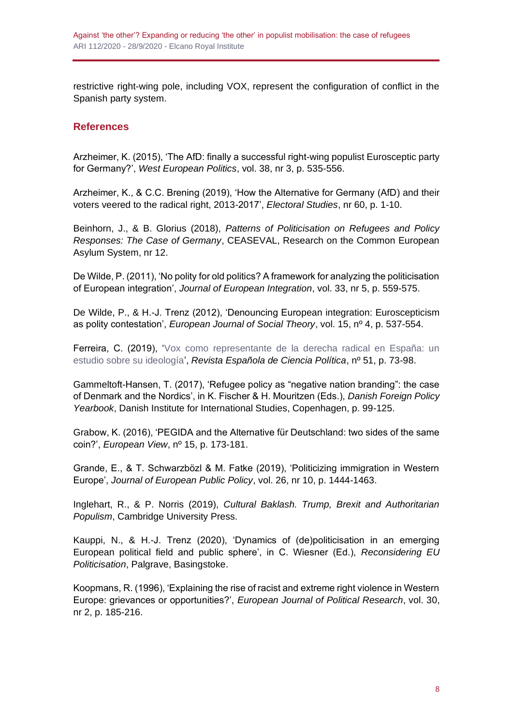restrictive right-wing pole, including VOX, represent the configuration of conflict in the Spanish party system.

## **References**

Arzheimer, K. (2015), 'The AfD: finally a successful right-wing populist Eurosceptic party for Germany?', *West European Politics*, vol. 38, nr 3, p. 535-556.

Arzheimer, K., & C.C. Brening (2019), 'How the Alternative for Germany (AfD) and their voters veered to the radical right, 2013-2017', *Electoral Studies*, nr 60, p. 1-10.

Beinhorn, J., & B. Glorius (2018), *Patterns of Politicisation on Refugees and Policy Responses: The Case of Germany*, CEASEVAL, Research on the Common European Asylum System, nr 12.

De Wilde, P. (2011), 'No polity for old politics? A framework for analyzing the politicisation of European integration', *Journal of European Integration*, vol. 33, nr 5, p. 559-575.

De Wilde, P., & H.-J. Trenz (2012), 'Denouncing European integration: Euroscepticism as polity contestation', *European Journal of Social Theory*, vol. 15, nº 4, p. 537-554.

Ferreira, C. (2019), ['Vox como representante de la derecha radical en España: un](https://scholar.google.es/scholar?oi=bibs&cluster=7009575735106776040&btnI=1&hl=es)  [estudio sobre su ideología'](https://scholar.google.es/scholar?oi=bibs&cluster=7009575735106776040&btnI=1&hl=es), *Revista Española de Ciencia Política*, nº 51, p. 73-98.

Gammeltoft-Hansen, T. (2017), 'Refugee policy as "negative nation branding": the case of Denmark and the Nordics', in K. Fischer & H. Mouritzen (Eds.), *Danish Foreign Policy Yearbook*, Danish Institute for International Studies, Copenhagen, p. 99-125.

Grabow, K. (2016), 'PEGIDA and the Alternative für Deutschland: two sides of the same coin?', *European View*, nº 15, p. 173-181.

Grande, E., & T. Schwarzbözl & M. Fatke (2019), 'Politicizing immigration in Western Europe', *Journal of European Public Policy*, vol. 26, nr 10, p. 1444-1463.

Inglehart, R., & P. Norris (2019), *Cultural Baklash. Trump, Brexit and Authoritarian Populism*, Cambridge University Press.

Kauppi, N., & H.-J. Trenz (2020), 'Dynamics of (de)politicisation in an emerging European political field and public sphere', in C. Wiesner (Ed.), *Reconsidering EU Politicisation*, Palgrave, Basingstoke.

Koopmans, R. (1996), 'Explaining the rise of racist and extreme right violence in Western Europe: grievances or opportunities?', *European Journal of Political Research*, vol. 30, nr 2, p. 185-216.